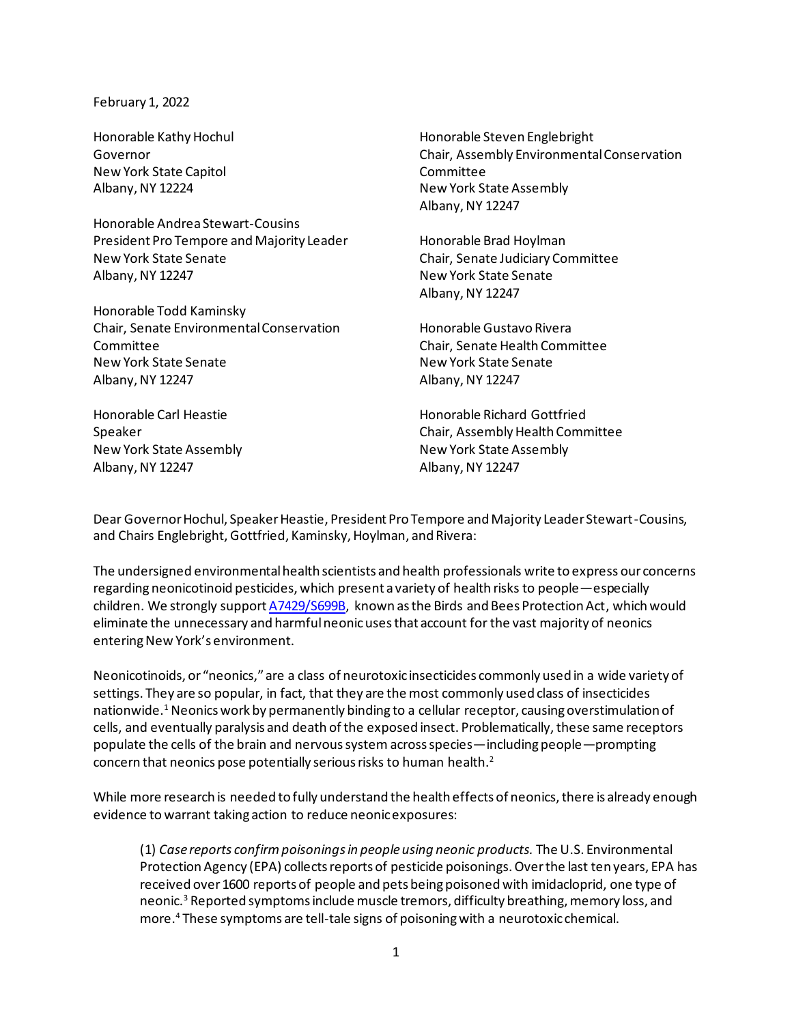## February 1, 2022

Honorable Kathy Hochul Governor New York State Capitol Albany, NY 12224

Honorable Andrea Stewart-Cousins President Pro Tempore and Majority Leader New York State Senate Albany, NY 12247

Honorable Todd Kaminsky Chair, Senate Environmental Conservation Committee New York State Senate Albany, NY 12247

Honorable Carl Heastie Speaker New York State Assembly Albany, NY 12247

Honorable Steven Englebright Chair, Assembly Environmental Conservation **Committee** New York State Assembly Albany, NY 12247

Honorable Brad Hoylman Chair, Senate Judiciary Committee New York State Senate Albany, NY 12247

Honorable Gustavo Rivera Chair, Senate Health Committee New York State Senate Albany, NY 12247

Honorable Richard Gottfried Chair, Assembly Health Committee New York State Assembly Albany, NY 12247

Dear Governor Hochul, Speaker Heastie, President Pro Tempore and Majority Leader Stewart-Cousins, and Chairs Englebright, Gottfried, Kaminsky, Hoylman, and Rivera:

The undersigned environmental health scientists and health professionals write to express our concerns regarding neonicotinoid pesticides, which present a variety of health risks to people—especially children. We strongly support [A7429/S699B,](https://nyassembly.gov/leg/?bn=A07429&term=2021) known as the Birds and Bees Protection Act, which would eliminate the unnecessary and harmfulneonicusesthat account for the vast majority of neonics entering New York's environment.

Neonicotinoids, or "neonics," are a class of neurotoxic insecticides commonly used in a wide variety of settings. They are so popular, in fact, that they are the most commonly used class of insecticides nationwide.<sup>1</sup> Neonics work by permanently binding to a cellular receptor, causing overstimulation of cells, and eventually paralysis and death of the exposed insect. Problematically, these same receptors populate the cells of the brain and nervous system across species—including people—prompting concern that neonics pose potentially serious risks to human health.<sup>2</sup>

While more research is needed to fully understand the health effects of neonics, there is already enough evidence to warrant taking action to reduce neonic exposures:

(1) *Case reports confirmpoisoningsin people using neonic products.* The U.S. Environmental Protection Agency (EPA) collects reports of pesticide poisonings. Over the last ten years, EPA has received over 1600 reports of people and pets being poisoned with imidacloprid, one type of neonic.<sup>3</sup> Reported symptoms include muscle tremors, difficulty breathing, memory loss, and more.<sup>4</sup> These symptoms are tell-tale signs of poisoning with a neurotoxic chemical.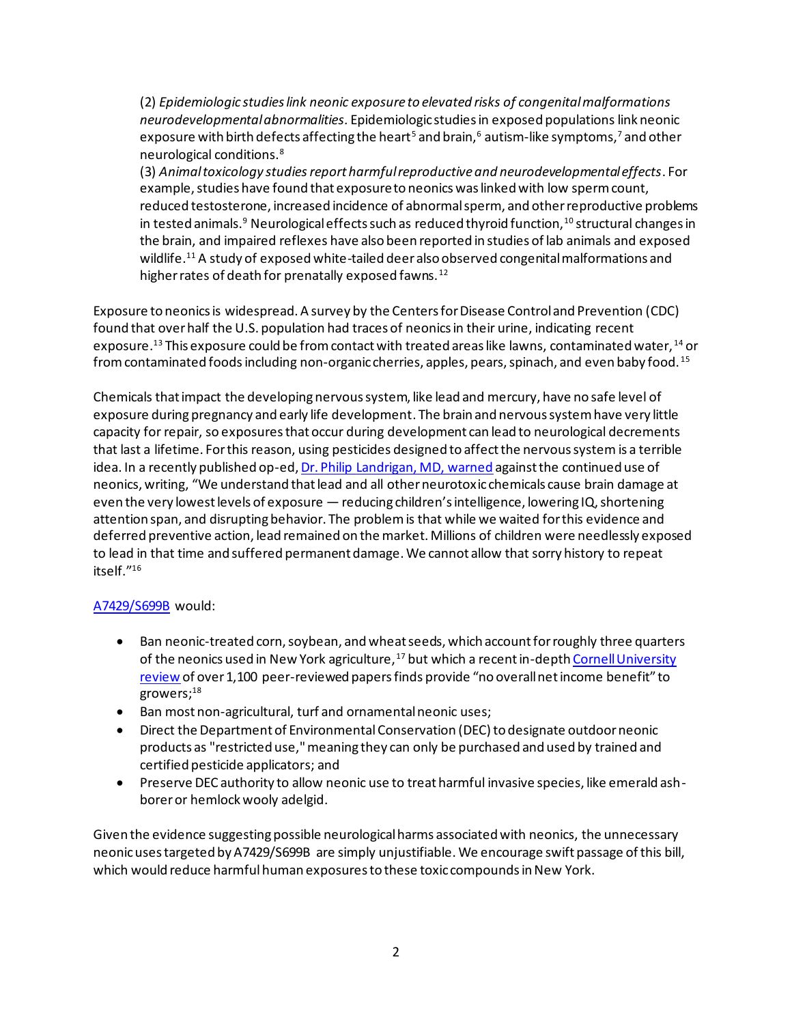(2) *Epidemiologic studies link neonic exposure to elevated risks of congenital malformations neurodevelopmental abnormalities.* Epidemiologic studies in exposed populationslink neonic exposure with birth defects affecting the heart<sup>5</sup> and brain,<sup>6</sup> autism-like symptoms,<sup>7</sup> and other neurological conditions.<sup>8</sup>

(3) *Animal toxicology studiesreport harmful reproductive and neurodevelopmental effects*. For example, studies have found that exposure to neonics was linked with low sperm count, reduced testosterone, increased incidence of abnormal sperm, and other reproductive problems in tested animals.<sup>9</sup> Neurological effects such as reduced thyroid function,  $^{10}$  structural changes in the brain, and impaired reflexes have also been reported in studies of lab animals and exposed wildlife. <sup>11</sup> A study of exposed white-tailed deer also observed congenital malformations and higher rates of death for prenatally exposed fawns.<sup>12</sup>

Exposure to neonics is widespread. A survey by the Centers for Disease Control and Prevention (CDC) found that over half the U.S. population had traces of neonics in their urine, indicating recent exposure. <sup>13</sup> This exposure could be from contact with treated areas like lawns, contaminated water, <sup>14</sup> or from contaminated foods including non-organic cherries, apples, pears, spinach, and even baby food.<sup>15</sup>

Chemicals that impact the developing nervous system, like lead and mercury, have no safe level of exposure during pregnancy and early life development. The brain and nervous system have very little capacity for repair, so exposures that occur during development can lead to neurological decrements that last a lifetime. For this reason, using pesticides designed to affect the nervous system is a terrible idea. In a recently published op-ed[, Dr. Philip Landrigan, MD, warned](https://www.pressreader.com/usa/albany-times-union/20210830/281779927223783) against the continued use of neonics, writing, "We understand that lead and all other neurotoxic chemicals cause brain damage at even the very lowest levels of exposure — reducing children's intelligence, lowering IQ, shortening attention span, and disrupting behavior. The problem is that while we waited for this evidence and deferred preventive action, lead remained on the market. Millions of children were needlessly exposed to lead in that time and suffered permanent damage. We cannot allow that sorry history to repeat itself." 16

## [A7429/S699B](https://nyassembly.gov/leg/?bn=A07429&term=2021) would:

- Ban neonic-treated corn, soybean, and wheat seeds, which account for roughly three quarters of the neonics used in New York agriculture,<sup>17</sup> but which a recent in-depth Cornell University [review](https://pollinator.cals.cornell.edu/pollinator-research-cornell/neonicotinoid-report/) of over 1,100 peer-reviewed papers finds provide "no overall net income benefit" to growers; $^{\rm 18}$
- Ban most non-agricultural, turf and ornamental neonic uses;
- Direct the Department of Environmental Conservation (DEC) to designate outdoor neonic products as "restricted use," meaning they can only be purchased and used by trained and certified pesticide applicators; and
- Preserve DEC authority to allow neonic use to treat harmful invasive species, like emerald ashborer or hemlock wooly adelgid.

Given the evidence suggesting possible neurological harms associated with neonics, the unnecessary neonic uses targeted by A7429/S699B are simply unjustifiable. We encourage swift passage of this bill, which would reduce harmful human exposures to these toxic compounds in New York.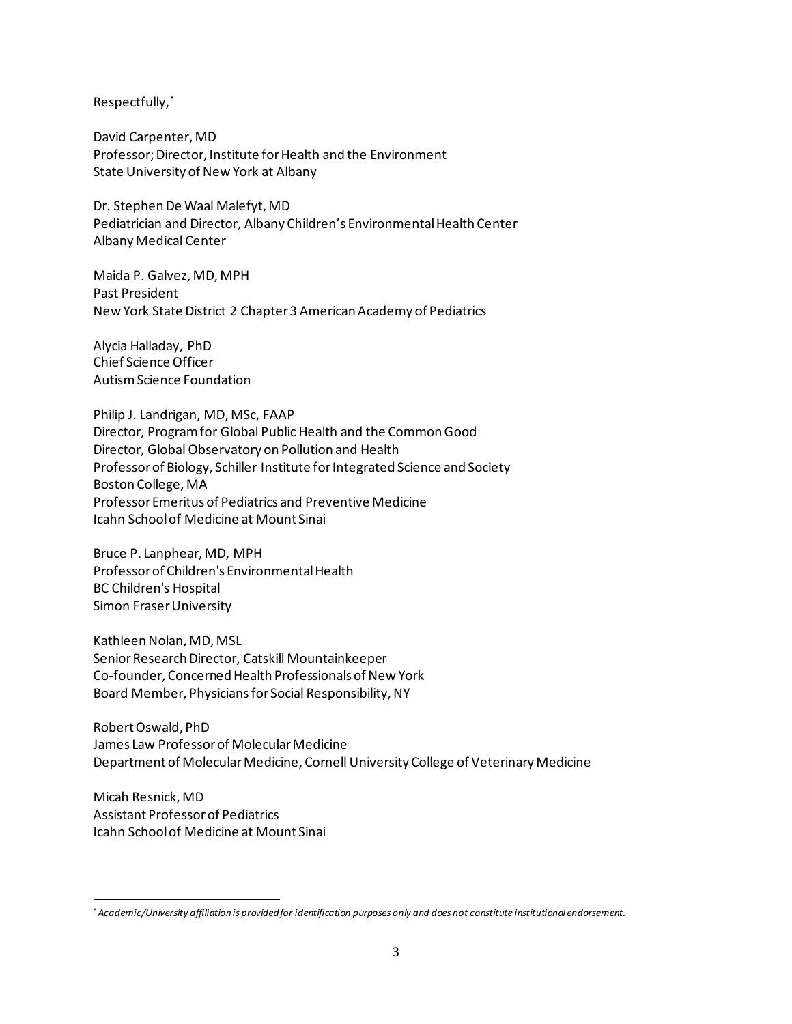Respectfully,\*

David Carpenter, MD Professor; Director, Institute for Health and the Environment State University of New York at Albany

Dr. Stephen De Waal Malefyt, MD Pediatrician and Director, Albany Children's Environmental Health Center Albany Medical Center

Maida P. Galvez, MD, MPH Past President New York State District 2 Chapter 3 American Academy of Pediatrics

Alycia Halladay, PhD Chief Science Officer Autism Science Foundation

Philip J. Landrigan, MD, MSc, FAAP Director, Program for Global Public Health and the Common Good Director, Global Observatory on Pollution and Health Professor of Biology, Schiller Institute for Integrated Science and Society Boston College, MA Professor Emeritus of Pediatrics and Preventive Medicine Icahn School of Medicine at Mount Sinai

Bruce P. Lanphear, MD, MPH Professor of Children's Environmental Health BC Children's Hospital Simon Fraser University

Kathleen Nolan, MD, MSL Senior Research Director, Catskill Mountainkeeper Co-founder, Concerned Health Professionals of New York Board Member, Physicians for Social Responsibility, NY

Robert Oswald, PhD James Law Professor of Molecular Medicine Department of Molecular Medicine, Cornell University College of Veterinary Medicine

Micah Resnick, MD Assistant Professor of Pediatrics Icahn School of Medicine at Mount Sinai

<sup>\*</sup>*Academic/University affiliation is provided for identification purposes only and does not constitute institutional endorsement.*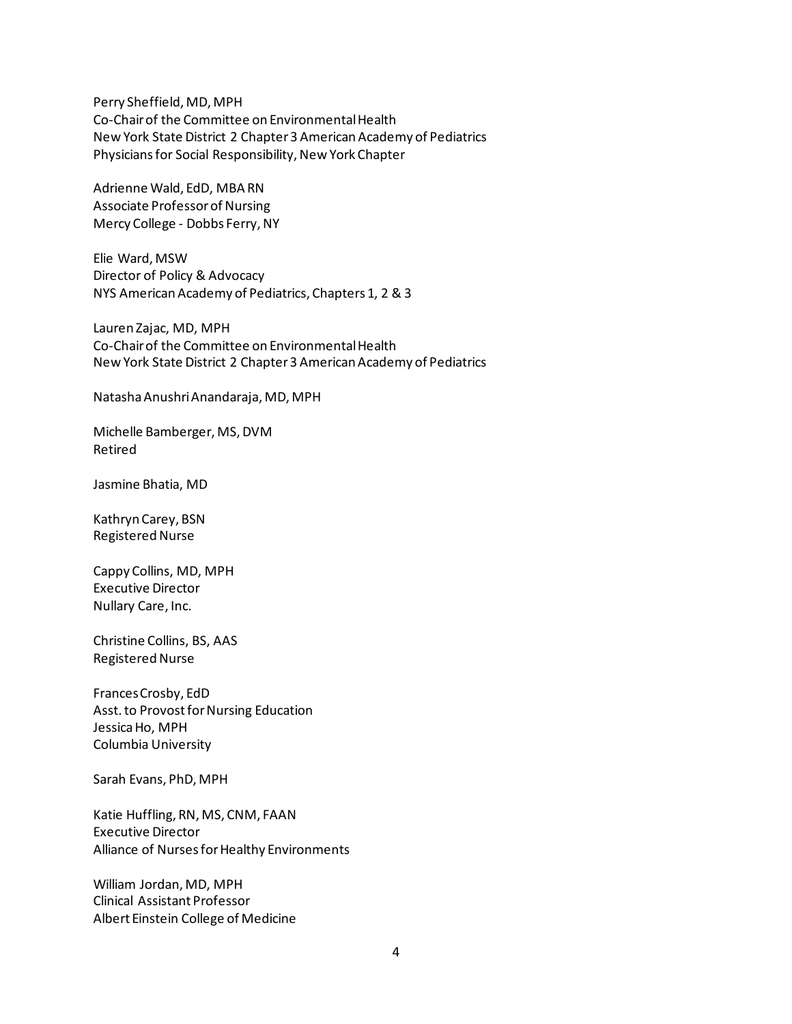Perry Sheffield, MD, MPH Co-Chair of the Committee on Environmental Health New York State District 2 Chapter 3 American Academy of Pediatrics Physicians for Social Responsibility, New York Chapter

Adrienne Wald, EdD, MBA RN Associate Professor of Nursing Mercy College - Dobbs Ferry, NY

Elie Ward, MSW Director of Policy & Advocacy NYS American Academy of Pediatrics, Chapters 1, 2 & 3

Lauren Zajac, MD, MPH Co-Chair of the Committee on Environmental Health New York State District 2 Chapter 3 American Academy of Pediatrics

Natasha Anushri Anandaraja, MD, MPH

Michelle Bamberger, MS, DVM Retired

Jasmine Bhatia, MD

Kathryn Carey, BSN Registered Nurse

Cappy Collins, MD, MPH Executive Director Nullary Care, Inc.

Christine Collins, BS, AAS Registered Nurse

FrancesCrosby, EdD Asst. to Provost for Nursing Education Jessica Ho, MPH Columbia University

Sarah Evans, PhD, MPH

Katie Huffling, RN, MS, CNM, FAAN Executive Director Alliance of Nurses for Healthy Environments

William Jordan, MD, MPH Clinical Assistant Professor Albert Einstein College of Medicine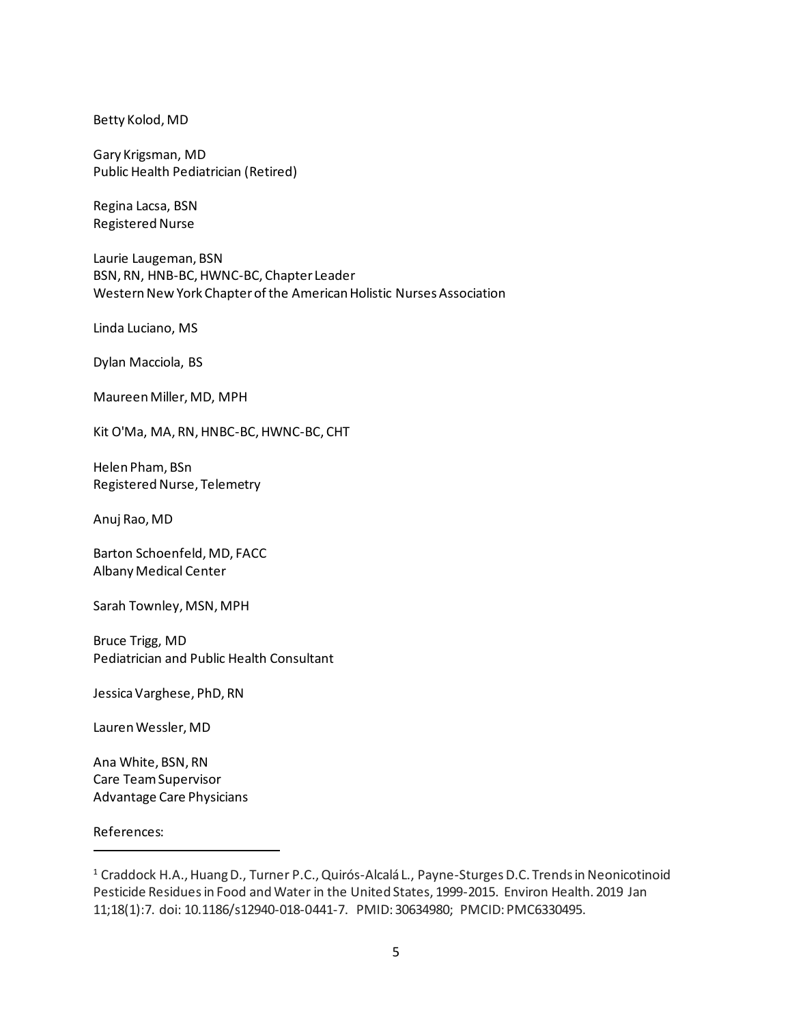Betty Kolod, MD

Gary Krigsman, MD Public Health Pediatrician (Retired)

Regina Lacsa, BSN Registered Nurse

Laurie Laugeman, BSN BSN, RN, HNB-BC, HWNC-BC, Chapter Leader Western New York Chapter of the American Holistic Nurses Association

Linda Luciano, MS

Dylan Macciola, BS

Maureen Miller, MD, MPH

Kit O'Ma, MA, RN, HNBC-BC, HWNC-BC, CHT

Helen Pham, BSn Registered Nurse, Telemetry

Anuj Rao, MD

Barton Schoenfeld, MD, FACC Albany Medical Center

Sarah Townley, MSN, MPH

Bruce Trigg, MD Pediatrician and Public Health Consultant

Jessica Varghese, PhD, RN

Lauren Wessler, MD

Ana White, BSN, RN Care Team Supervisor Advantage Care Physicians

References:

<sup>&</sup>lt;sup>1</sup> Craddock H.A., Huang D., Turner P.C., Quirós-Alcalá L., Payne-Sturges D.C. Trends in Neonicotinoid Pesticide Residues in Food and Water in the United States, 1999-2015. Environ Health. 2019 Jan 11;18(1):7. doi: 10.1186/s12940-018-0441-7. PMID: 30634980; PMCID: PMC6330495.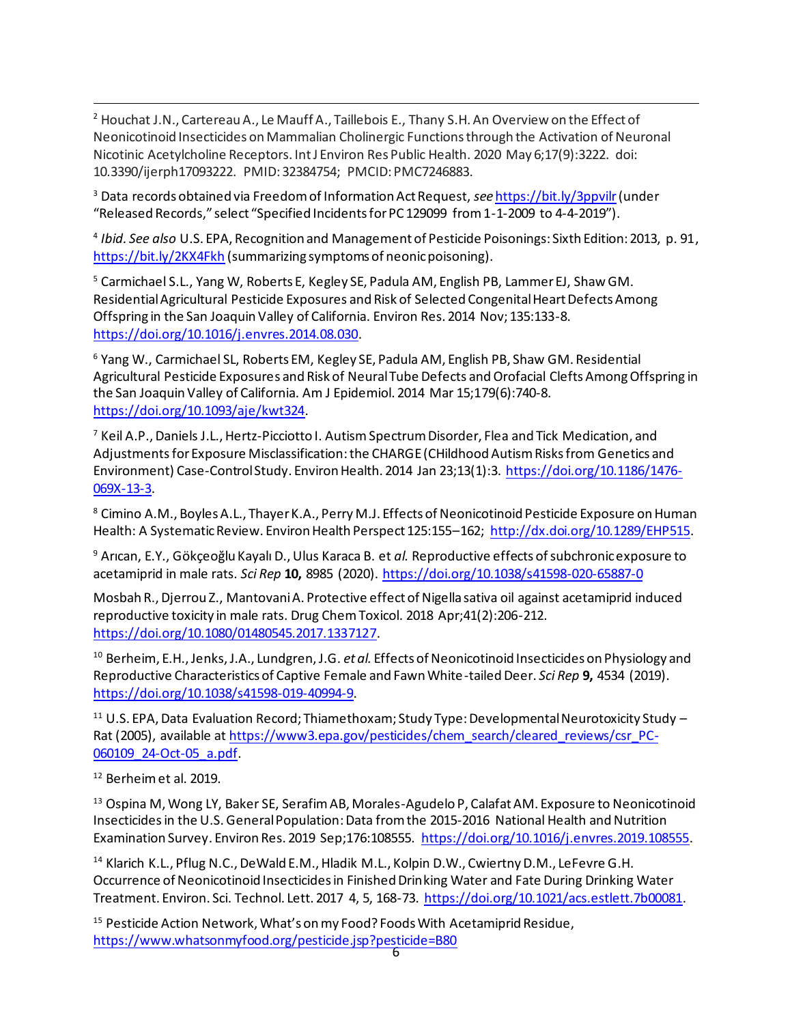<sup>2</sup> Houchat J.N., Cartereau A., Le Mauff A., Taillebois E., Thany S.H. An Overview on the Effect of Neonicotinoid Insecticides on Mammalian Cholinergic Functions through the Activation of Neuronal Nicotinic Acetylcholine Receptors. Int J Environ Res Public Health. 2020 May 6;17(9):3222. doi: 10.3390/ijerph17093222. PMID: 32384754; PMCID: PMC7246883.

<sup>3</sup> Data records obtained via Freedom of Information Act Request, *see* <https://bit.ly/3ppvilr>(under "Released Records," select "Specified Incidents for PC 129099 from 1-1-2009 to 4-4-2019").

4 *Ibid. See also* U.S. EPA, Recognition and Management of Pesticide Poisonings: Sixth Edition: 2013, p. 91, <https://bit.ly/2KX4Fkh> (summarizing symptoms of neonic poisoning).

<sup>5</sup> Carmichael S.L., Yang W, Roberts E, Kegley SE, Padula AM, English PB, Lammer EJ, Shaw GM. Residential Agricultural Pesticide Exposures and Risk of Selected Congenital Heart Defects Among Offspring in the San Joaquin Valley of California. Environ Res. 2014 Nov; 135:133-8. [https://doi.org/10.1016/j.envres.2014.08.030.](https://doi.org/10.1016/j.envres.2014.08.030)

<sup>6</sup> Yang W., Carmichael SL, Roberts EM, Kegley SE, Padula AM, English PB, Shaw GM. Residential Agricultural Pesticide Exposures and Risk of Neural Tube Defects and Orofacial Clefts Among Offspring in the San Joaquin Valley of California. Am J Epidemiol. 2014 Mar 15;179(6):740-8. [https://doi.org/10.1093/aje/kwt324.](https://doi.org/10.1093/aje/kwt324)

 $^7$  Keil A.P., Daniels J.L., Hertz-Picciotto I. Autism Spectrum Disorder, Flea and Tick Medication, and Adjustments for Exposure Misclassification: the CHARGE (CHildhood Autism Risks from Genetics and Environment) Case-Control Study. Environ Health. 2014 Jan 23;13(1):3. [https://doi.org/10.1186/1476-](https://doi.org/10.1186/1476-069X-13-3) [069X-13-3.](https://doi.org/10.1186/1476-069X-13-3)

<sup>8</sup> Cimino A.M., Boyles A.L., Thayer K.A., Perry M.J. Effects of Neonicotinoid Pesticide Exposure on Human Health: A Systematic Review. Environ Health Perspect 125:155–162; [http://dx.doi.org/10.1289/EHP515.](http://dx.doi.org/10.1289/EHP515)

<sup>9</sup> Arıcan, E.Y., Gökçeoğlu Kayalı D., Ulus Karaca B. et *al.* Reproductive effects of subchronic exposure to acetamiprid in male rats. *Sci Rep* **10,** 8985 (2020).<https://doi.org/10.1038/s41598-020-65887-0>

Mosbah R., Djerrou Z., Mantovani A. Protective effect of Nigella sativa oil against acetamiprid induced reproductive toxicity in male rats. Drug Chem Toxicol. 2018 Apr;41(2):206-212. [https://doi.org/10.1080/01480545.2017.1337127.](https://doi.org/10.1080/01480545.2017.1337127)

<sup>10</sup> Berheim, E.H., Jenks, J.A., Lundgren, J.G. *et al.* Effects of Neonicotinoid Insecticides on Physiology and Reproductive Characteristics of Captive Female and Fawn White-tailed Deer. *Sci Rep* **9,** 4534 (2019). [https://doi.org/10.1038/s41598-019-40994-9.](https://doi.org/10.1038/s41598-019-40994-9) 

<sup>11</sup> U.S. EPA, Data Evaluation Record; Thiamethoxam; Study Type: Developmental Neurotoxicity Study – Rat (2005), available at [https://www3.epa.gov/pesticides/chem\\_search/cleared\\_reviews/csr\\_PC-](https://www3.epa.gov/pesticides/chem_search/cleared_reviews/csr_PC-060109_24-Oct-05_a.pdf)[060109\\_24-Oct-05\\_a.pdf.](https://www3.epa.gov/pesticides/chem_search/cleared_reviews/csr_PC-060109_24-Oct-05_a.pdf)

<sup>12</sup> Berheim et al. 2019.

<sup>13</sup> Ospina M, Wong LY, Baker SE, Serafim AB, Morales-Agudelo P, Calafat AM. Exposure to Neonicotinoid Insecticides in the U.S. General Population: Data from the 2015-2016 National Health and Nutrition Examination Survey. Environ Res. 2019 Sep;176:108555. [https://doi.org/10.1016/j.envres.2019.108555.](https://doi.org/10.1016/j.envres.2019.108555)

<sup>14</sup> Klarich K.L., Pflug N.C., DeWald E.M., Hladik M.L., Kolpin D.W., Cwiertny D.M., LeFevre G.H. Occurrence of Neonicotinoid Insecticides in Finished Drinking Water and Fate During Drinking Water Treatment. Environ. Sci. Technol. Lett. 2017 4, 5, 168-73. [https://doi.org/10.1021/acs.estlett.7b00081.](https://doi.org/10.1021/acs.estlett.7b00081)

<sup>15</sup> Pesticide Action Network, What's on my Food? Foods With Acetamiprid Residue, <https://www.whatsonmyfood.org/pesticide.jsp?pesticide=B80>